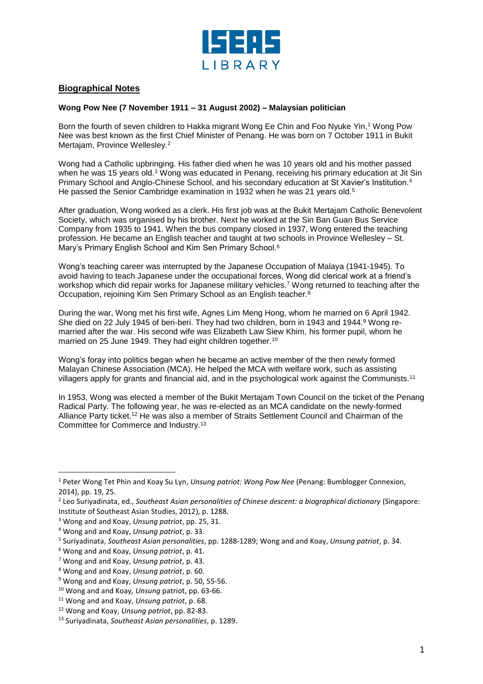

## **Biographical Notes**

## **Wong Pow Nee (7 November 1911 – 31 August 2002) – Malaysian politician**

Born the fourth of seven children to Hakka migrant Wong Ee Chin and Foo Nyuke Yin, <sup>1</sup> Wong Pow Nee was best known as the first Chief Minister of Penang. He was born on 7 October 1911 in Bukit Mertajam, Province Wellesley.<sup>2</sup>

Wong had a Catholic upbringing. His father died when he was 10 years old and his mother passed when he was 15 years old.<sup>3</sup> Wong was educated in Penang, receiving his primary education at Jit Sin Primary School and Anglo-Chinese School, and his secondary education at St Xavier's Institution.<sup>4</sup> He passed the Senior Cambridge examination in 1932 when he was 21 years old.<sup>5</sup>

After graduation, Wong worked as a clerk. His first job was at the Bukit Mertajam Catholic Benevolent Society, which was organised by his brother. Next he worked at the Sin Ban Guan Bus Service Company from 1935 to 1941. When the bus company closed in 1937, Wong entered the teaching profession. He became an English teacher and taught at two schools in Province Wellesley – St. Mary's Primary English School and Kim Sen Primary School.<sup>6</sup>

Wong's teaching career was interrupted by the Japanese Occupation of Malaya (1941-1945). To avoid having to teach Japanese under the occupational forces, Wong did clerical work at a friend's workshop which did repair works for Japanese military vehicles.<sup>7</sup> Wong returned to teaching after the Occupation, rejoining Kim Sen Primary School as an English teacher.<sup>8</sup>

During the war, Wong met his first wife, Agnes Lim Meng Hong, whom he married on 6 April 1942. She died on 22 July 1945 of beri-beri. They had two children, born in 1943 and 1944.<sup>9</sup> Wong remarried after the war. His second wife was Elizabeth Law Siew Khim, his former pupil, whom he married on 25 June 1949. They had eight children together.<sup>10</sup>

Wong's foray into politics began when he became an active member of the then newly formed Malayan Chinese Association (MCA). He helped the MCA with welfare work, such as assisting villagers apply for grants and financial aid, and in the psychological work against the Communists.<sup>11</sup>

In 1953, Wong was elected a member of the Bukit Mertajam Town Council on the ticket of the Penang Radical Party. The following year, he was re-elected as an MCA candidate on the newly-formed Alliance Party ticket.<sup>12</sup> He was also a member of Straits Settlement Council and Chairman of the Committee for Commerce and Industry.<sup>13</sup>

 $\overline{a}$ 

<sup>1</sup> Peter Wong Tet Phin and Koay Su Lyn, *Unsung patriot: Wong Pow Nee* (Penang: Bumblogger Connexion, 2014), pp. 19, 25.

<sup>2</sup> Leo Suriyadinata, ed., *Southeast Asian personalities of Chinese descent: a biographical dictionary* (Singapore: Institute of Southeast Asian Studies, 2012), p. 1288.

<sup>3</sup> Wong and and Koay, *Unsung patriot*, pp. 25, 31.

<sup>4</sup> Wong and and Koay, *Unsung patriot*, p. 33.

<sup>5</sup> Suriyadinata, *Southeast Asian personalities*, pp. 1288-1289; Wong and and Koay, *Unsung patriot*, p. 34.

<sup>6</sup> Wong and and Koay, *Unsung patriot*, p. 41.

<sup>7</sup> Wong and and Koay, *Unsung patriot*, p. 43.

<sup>8</sup> Wong and and Koay, *Unsung patriot*, p. 60.

<sup>9</sup> Wong and and Koay, *Unsung patriot*, p. 50, 55-56.

<sup>10</sup> Wong and and Koay*, Unsung* patriot, pp. 63-66.

<sup>11</sup> Wong and and Koay, *Unsung patriot*, p. 68.

<sup>12</sup> Wong and Koay, *Unsung patriot*, pp. 82-83.

<sup>13</sup> Suriyadinata, *Southeast Asian personalities*, p. 1289.